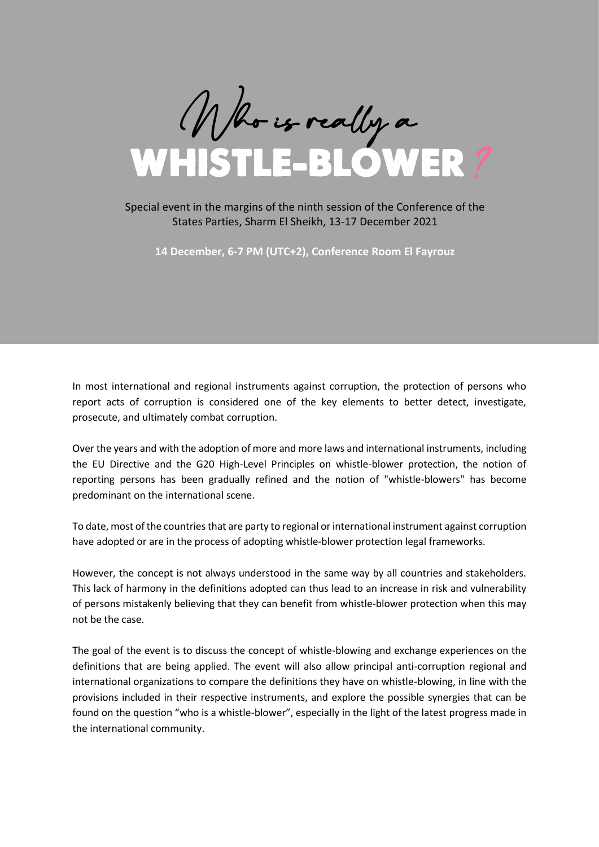

### Special event in the margins of the ninth session of the Conference of the States Parties, Sharm El Sheikh, 13-17 December 2021

**14 December, 6-7 PM (UTC+2), Conference Room El Fayrouz**

In most international and regional instruments against corruption, the protection of persons who report acts of corruption is considered one of the key elements to better detect, investigate, prosecute, and ultimately combat corruption.

Over the years and with the adoption of more and more laws and international instruments, including the EU Directive and the G20 High-Level Principles on whistle-blower protection, the notion of reporting persons has been gradually refined and the notion of "whistle-blowers" has become predominant on the international scene.

To date, most of the countries that are party to regional or international instrument against corruption have adopted or are in the process of adopting whistle-blower protection legal frameworks.

However, the concept is not always understood in the same way by all countries and stakeholders. This lack of harmony in the definitions adopted can thus lead to an increase in risk and vulnerability of persons mistakenly believing that they can benefit from whistle-blower protection when this may not be the case.

The goal of the event is to discuss the concept of whistle-blowing and exchange experiences on the definitions that are being applied. The event will also allow principal anti-corruption regional and international organizations to compare the definitions they have on whistle-blowing, in line with the provisions included in their respective instruments, and explore the possible synergies that can be found on the question "who is a whistle-blower", especially in the light of the latest progress made in the international community.